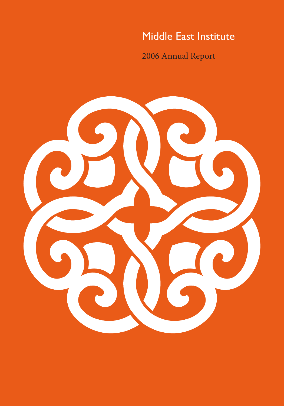# Middle East Institute

2006 Annual Report

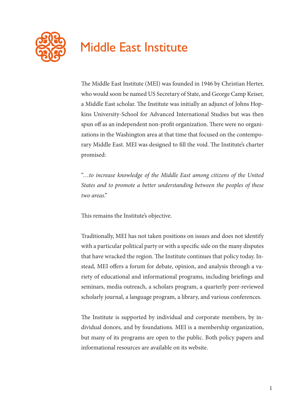

# **Middle East Institute**

The Middle East Institute (MEI) was founded in 1946 by Christian Herter, who would soon be named US Secretary of State, and George Camp Keiser, a Middle East scholar. The Institute was initially an adjunct of Johns Hopkins University-School for Advanced International Studies but was then spun off as an independent non-profit organization. There were no organizations in the Washington area at that time that focused on the contemporary Middle East. MEI was designed to fill the void. The Institute's charter promised:

"…*to increase knowledge of the Middle East among citizens of the United States and to promote a better understanding between the peoples of these two areas*."

This remains the Institute's objective.

Traditionally, MEI has not taken positions on issues and does not identify with a particular political party or with a specific side on the many disputes that have wracked the region. The Institute continues that policy today. Instead, MEI offers a forum for debate, opinion, and analysis through a variety of educational and informational programs, including briefings and seminars, media outreach, a scholars program, a quarterly peer-reviewed scholarly journal, a language program, a library, and various conferences.

The Institute is supported by individual and corporate members, by individual donors, and by foundations. MEI is a membership organization, but many of its programs are open to the public. Both policy papers and informational resources are available on its website.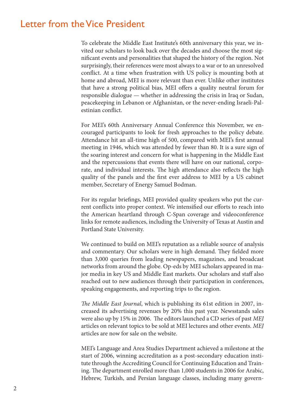# Letter from the Vice President

To celebrate the Middle East Institute's 60th anniversary this year, we invited our scholars to look back over the decades and choose the most significant events and personalities that shaped the history of the region. Not surprisingly, their references were most always to a war or to an unresolved conflict. At a time when frustration with US policy is mounting both at home and abroad, MEI is more relevant than ever. Unlike other institutes that have a strong political bias, MEI offers a quality neutral forum for responsible dialogue — whether in addressing the crisis in Iraq or Sudan, peacekeeping in Lebanon or Afghanistan, or the never-ending Israeli-Palestinian conflict.

For MEI's 60th Anniversary Annual Conference this November, we encouraged participants to look for fresh approaches to the policy debate. Attendance hit an all-time high of 500, compared with MEI's first annual meeting in 1946, which was attended by fewer than 80. It is a sure sign of the soaring interest and concern for what is happening in the Middle East and the repercussions that events there will have on our national, corporate, and individual interests. The high attendance also reflects the high quality of the panels and the first ever address to MEI by a US cabinet member, Secretary of Energy Samuel Bodman.

For its regular briefings, MEI provided quality speakers who put the current conflicts into proper context. We intensified our efforts to reach into the American heartland through C-Span coverage and videoconference links for remote audiences, including the University of Texas at Austin and Portland State University.

We continued to build on MEI's reputation as a reliable source of analysis and commentary. Our scholars were in high demand. They fielded more than 3,000 queries from leading newspapers, magazines, and broadcast networks from around the globe. Op-eds by MEI scholars appeared in major media in key US and Middle East markets. Our scholars and staff also reached out to new audiences through their participation in conferences, speaking engagements, and reporting trips to the region.

*The Middle East Journal*, which is publishing its 61st edition in 2007, increased its advertising revenues by 20% this past year. Newsstands sales were also up by 15% in 2006. The editors launched a CD series of past *MEJ*  articles on relevant topics to be sold at MEI lectures and other events. *MEJ*  articles are now for sale on the website.

MEI's Language and Area Studies Department achieved a milestone at the start of 2006, winning accreditation as a post-secondary education institute through the Accrediting Council for Continuing Education and Training. The department enrolled more than 1,000 students in 2006 for Arabic, Hebrew, Turkish, and Persian language classes, including many govern-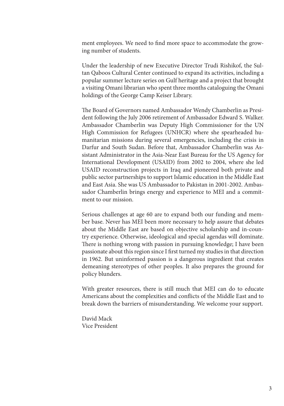ment employees. We need to find more space to accommodate the growing number of students.

Under the leadership of new Executive Director Trudi Rishikof, the Sultan Qaboos Cultural Center continued to expand its activities, including a popular summer lecture series on Gulf heritage and a project that brought a visiting Omani librarian who spent three months cataloguing the Omani holdings of the George Camp Keiser Library.

The Board of Governors named Ambassador Wendy Chamberlin as President following the July 2006 retirement of Ambassador Edward S. Walker. Ambassador Chamberlin was Deputy High Commissioner for the UN High Commission for Refugees (UNHCR) where she spearheaded humanitarian missions during several emergencies, including the crisis in Darfur and South Sudan. Before that, Ambassador Chamberlin was Assistant Administrator in the Asia-Near East Bureau for the US Agency for International Development (USAID) from 2002 to 2004, where she led USAID reconstruction projects in Iraq and pioneered both private and public sector partnerships to support Islamic education in the Middle East and East Asia. She was US Ambassador to Pakistan in 2001-2002. Ambassador Chamberlin brings energy and experience to MEI and a commitment to our mission.

Serious challenges at age 60 are to expand both our funding and member base. Never has MEI been more necessary to help assure that debates about the Middle East are based on objective scholarship and in-country experience. Otherwise, ideological and special agendas will dominate. There is nothing wrong with passion in pursuing knowledge; I have been passionate about this region since I first turned my studies in that direction in 1962. But uninformed passion is a dangerous ingredient that creates demeaning stereotypes of other peoples. It also prepares the ground for policy blunders.

With greater resources, there is still much that MEI can do to educate Americans about the complexities and conflicts of the Middle East and to break down the barriers of misunderstanding. We welcome your support.

David Mack Vice President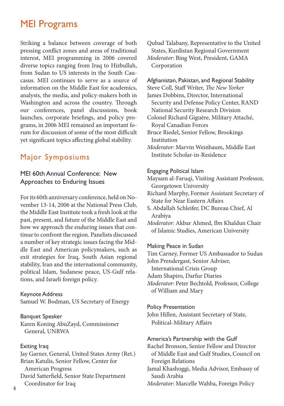# MEI Programs

Striking a balance between coverage of both pressing conflict zones and areas of traditional interest, MEI programming in 2006 covered diverse topics ranging from Iraq to Hizbullah, from Sudan to US interests in the South Caucasus. MEI continues to serve as a source of information on the Middle East for academics, analysts, the media, and policy-makers both in Washington and across the country. Through our conferences, panel discussions, book launches, corporate briefings, and policy programs, in 2006 MEI remained an important forum for discussion of some of the most difficult yet significant topics affecting global stability.

# Major Symposiums

# MEI 60th Annual Conference: New Approaches to Enduring Issues

For its 60th anniversary conference, held on November 13-14, 2006 at the National Press Club, the Middle East Institute took a fresh look at the past, present, and future of the Middle East and how we approach the enduring issues that continue to confront the region. Panelists discussed a number of key strategic issues facing the Middle East and American policymakers, such as exit strategies for Iraq, South Asian regional stability, Iran and the international community, political Islam, Sudanese peace, US-Gulf relations, and Israeli foreign policy.

### Keynote Address

Samuel W. Bodman, US Secretary of Energy

### Banquet Speaker

Karen Koning AbuZayd, Commissioner General, UNRWA

### Exiting Iraq

Jay Garner, General, United States Army (Ret.) Brian Katulis, Senior Fellow, Center for American Progress David Satterfield, Senior State Department Coordinator for Iraq

Qubad Talabany, Representative to the United States, Kurdistan Regional Government *Moderator*: Bing West, President, GAMA Corporation

Afghanistan, Pakistan, and Regional Stability Steve Coll, Staff Writer, *The New Yorker* James Dobbins, Director, International Security and Defense Policy Center, RAND National Security Research Division Colonel Richard Giguère, Military Attaché, Royal Canadian Forces Bruce Riedel, Senior Fellow, Brookings Institution *Moderator*: Marvin Weinbaum, Middle East Institute Scholar-in-Residence

#### Engaging Political Islam

Maysam al-Faruqi, Visiting Assistant Professor, Georgetown University

- Richard Murphy, Former Assistant Secretary of State for Near Eastern Affairs
- S. Abdallah Schleifer, DC Bureau Chief, Al Arabiya
- *Moderator*: Akbar Ahmed, Ibn Khaldun Chair of Islamic Studies, American University

### Making Peace in Sudan

Tim Carney, Former US Ambassador to Sudan

John Prendergast, Senior Adviser,

International Crisis Group

Adam Shapiro, Darfur Diaries

*Moderator*: Peter Bechtold, Professor, College of William and Mary

#### Policy Presentation

John Hillen, Assistant Secretary of State, Political-Military Affairs

America's Partnership with the Gulf

Rachel Bronson, Senior Fellow and Director of Middle East and Gulf Studies, Council on Foreign Relations

Jamal Khashoggi, Media Advisor, Embassy of Saudi Arabia

*Moderator*: Marcelle Wahba, Foreign Policy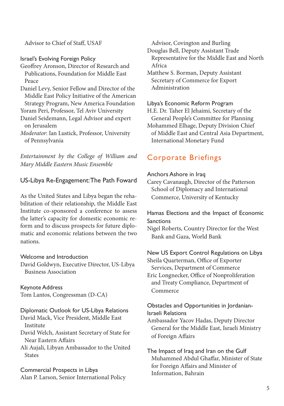Advisor to Chief of Staff, USAF

Israel's Evolving Foreign Policy

- Geoffrey Aronson, Director of Research and Publications, Foundation for Middle East Peace
- Daniel Levy, Senior Fellow and Director of the Middle East Policy Initiative of the American Strategy Program, New America Foundation

Yoram Peri, Professor, Tel Aviv University

- Daniel Seidemann, Legal Advisor and expert on Jerusalem
- *Moderator*: Ian Lustick, Professor, University of Pennsylvania

*Entertainment by the College of William and Mary Middle Eastern Music Ensemble*

# US-Libya Re-Engagement: The Path Foward

As the United States and Libya began the rehabilitation of their relationship, the Middle East Institute co-sponsored a conference to assess the latter's capacity for domestic economic reform and to discuss prospects for future diplomatic and economic relations between the two nations.

# Welcome and Introduction

David Goldwyn, Executive Director, US-Libya Business Association

# Keynote Address

Tom Lantos, Congressman (D-CA)

### Diplomatic Outlook for US-Libya Relations David Mack, Vice President, Middle East Institute

David Welch, Assistant Secretary of State for Near Eastern Affairs

Ali Aujali, Libyan Ambassador to the United States

Commercial Prospects in Libya Alan P. Larson, Senior International Policy Advisor, Covington and Burling

Douglas Bell, Deputy Assistant Trade Representative for the Middle East and North Africa

Matthew S. Borman, Deputy Assistant Secretary of Commerce for Export Administration

### Libya's Economic Reform Program

H.E. Dr. Taher El Jehaimi, Secretary of the General People's Committee for Planning

Mohammed Elhage, Deputy Division Chief of Middle East and Central Asia Department, International Monetary Fund

# Corporate Briefings

### Anchors Ashore in Iraq

Carey Cavanaugh, Director of the Patterson School of Diplomacy and International Commerce, University of Kentucky

# Hamas Elections and the Impact of Economic **Sanctions**

Nigel Roberts, Country Director for the West Bank and Gaza, World Bank

# New US Export Control Regulations on Libya

Sheila Quarterman, Office of Exporter Services, Department of Commerce Eric Longnecker, Office of Nonproliferation and Treaty Compliance, Department of Commerce

# Obstacles and Opportunities in Jordanian-Israeli Relations

Ambassador Yacov Hadas, Deputy Director General for the Middle East, Israeli Ministry of Foreign Affairs

The Impact of Iraq and Iran on the Gulf Muhammed Abdul Ghaffar, Minister of State for Foreign Affairs and Minister of Information, Bahrain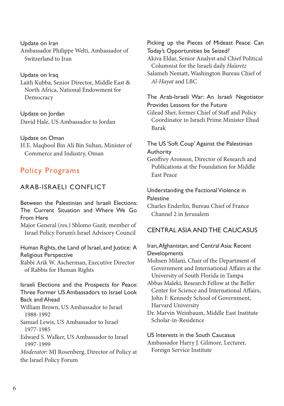Update on Iran Ambassador Philippe Welti, Ambassador of Switzerland to Iran

### Update on Iraq

Laith Kubba, Senior Director, Middle East & North Africa, National Endowment for Democracy

Update on Jordan David Hale, US Ambassador to Jordan

Update on Oman H.E. Maqbool Bin Ali Bin Sultan, Minister of Commerce and Industry, Oman

# Policy Programs

# ARAB-ISRAELI CONFLICT

Between the Palestinian and Israeli Elections: The Current Situation and Where We Go From Here

Major General (res.) Shlomo Gazit, member of Israel Policy Forum's Israel Advisory Council

Human Rights, the Land of Israel, and Justice: A Religious Perspective Rabbi Arik W. Ascherman, Executive Director

of Rabbis for Human Rights

Israeli Elections and the Prospects for Peace: Three Former US Ambassadors to Israel Look Back and Ahead

William Brown, US Ambassador to Israel 1988-1992

Samuel Lewis, US Ambassador to Israel 1977-1985

Edward S. Walker, US Ambassador to Israel 1997-1999

*Moderator*: MJ Rosenberg, Director of Policy at the Israel Policy Forum

Picking up the Pieces of Mideast Peace: Can Today's Opportunities be Seized? Akiva Eldar, Senior Analyst and Chief Political Columnist for the Israeli daily *Ha'aretz* Salameh Nematt, Washington Bureau Chief of *Al-Hayat* and LBC

### The Arab-Israeli War: An Israeli Negotiator Provides Lessons for the Future

Gilead Sher, former Chief of Staff and Policy Coordinator to Israeli Prime Minister Ehud Barak

### The US 'Soft Coup' Against the Palestinian Authority

Geoffrey Aronson, Director of Research and Publications at the Foundation for Middle East Peace

### Understanding the Factional Violence in Palestine

Charles Enderlin, Bureau Chief of France Channel 2 in Jerusalem

### CENTRAL ASIA AND THE CAUCASUS

### Iran, Afghanistan, and Central Asia: Recent Developments

Mohsen Milani, Chair of the Department of Government and International Affairs at the University of South Florida in Tampa

Abbas Maleki, Research Fellow at the Belfer Center for Science and International Affairs, John F. Kennedy School of Government, Harvard University

Dr. Marvin Weinbaum, Middle East Institute Scholar-in-Residence

US Interests in the South Caucasus Ambassador Harry J. Gilmore, Lecturer, Foreign Service Institute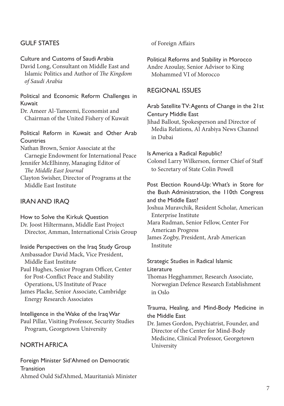# GULF STATES

Culture and Customs of Saudi Arabia David Long, Consultant on Middle East and Islamic Politics and Author of *The Kingdom of Saudi Arabia*

Political and Economic Reform Challenges in Kuwait

Dr. Ameer Al-Tameemi, Economist and Chairman of the United Fishery of Kuwait

Political Reform in Kuwait and Other Arab **Countries** Nathan Brown, Senior Associate at the Carnegie Endowment for International Peace Jennifer McElhinny, Managing Editor of *The Middle East Journal* Clayton Swisher, Director of Programs at the Middle East Institute

# IRAN AND IRAQ

How to Solve the Kirkuk Question Dr. Joost Hiltermann, Middle East Project Director, Amman, International Crisis Group

Inside Perspectives on the Iraq Study Group Ambassador David Mack, Vice President, Middle East Institute Paul Hughes, Senior Program Officer, Center

 for Post-Conflict Peace and Stability Operations, US Institute of Peace

James Placke, Senior Associate, Cambridge Energy Research Associates

Intelligence in the Wake of the Iraq War Paul Pillar, Visiting Professor, Security Studies Program, Georgetown University

# NORTH AFRICA

Foreign Minister Sid'Ahmed on Democratic **Transition** Ahmed Ould Sid'Ahmed, Mauritania's Minister of Foreign Affairs

Political Reforms and Stability in Morocco Andre Azoulay, Senior Advisor to King Mohammed VI of Morocco

### REGIONAL ISSUES

### Arab Satellite TV: Agents of Change in the 21st Century Middle East

Jihad Ballout, Spokesperson and Director of Media Relations, Al Arabiya News Channel in Dubai

Is America a Radical Republic? Colonel Larry Wilkerson, former Chief of Staff to Secretary of State Colin Powell

Post Election Round-Up: What's in Store for the Bush Administration, the 110th Congress and the Middle East?

Joshua Muravchik, Resident Scholar, American Enterprise Institute

Mara Rudman, Senior Fellow, Center For American Progress James Zogby, President, Arab American

Institute

Strategic Studies in Radical Islamic Literature

Thomas Hegghammer, Research Associate, Norwegian Defence Research Establishment in Oslo

# Trauma, Healing, and Mind-Body Medicine in the Middle East

Dr. James Gordon, Psychiatrist, Founder, and Director of the Center for Mind-Body Medicine, Clinical Professor, Georgetown University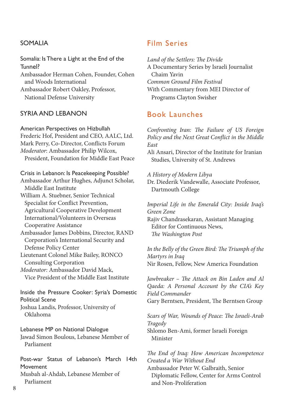# SOMALIA

Somalia: Is There a Light at the End of the Tunnel? Ambassador Herman Cohen, Founder, Cohen

and Woods International

Ambassador Robert Oakley, Professor, National Defense University

### SYRIA AND I FRANON

American Perspectives on Hizbullah Frederic Hof, President and CEO, AALC, Ltd. Mark Perry, Co-Director, Conflicts Forum *Moderator*: Ambassador Philip Wilcox, President, Foundation for Middle East Peace

### Crisis in Lebanon: Is Peacekeeping Possible?

Ambassador Arthur Hughes, Adjunct Scholar, Middle East Institute William A. Stuebner, Senior Technical Specialist for Conflict Prevention, Agricultural Cooperative Development International/Volunteers in Overseas Cooperative Assistance Ambassador James Dobbins, Director, RAND Corporation's International Security and Defense Policy Center Lieutenant Colonel Mike Bailey, RONCO Consulting Corporation *Moderator:* Ambassador David Mack, Vice President of the Middle East Institute

Inside the Pressure Cooker: Syria's Domestic Political Scene Joshua Landis, Professor, University of Oklahoma

Lebanese MP on National Dialogue Jawad Simon Boulous, Lebanese Member of Parliament

Post-war Status of Lebanon's March 14th **Movement** Musbah al-Ahdab, Lebanese Member of Parliament

# Film Series

*Land of the Settlers: The Divide* A Documentary Series by Israeli Journalist Chaim Yavin *Common Ground Film Festival* With Commentary from MEI Director of Programs Clayton Swisher

# Book Launches

*Confronting Iran: The Failure of US Foreign Policy and the Next Great Conflict in the Middle East* 

Ali Ansari, Director of the Institute for Iranian Studies, University of St. Andrews

*A History of Modern Libya*

Dr. Diederik Vandewalle, Associate Professor, Dartmouth College

*Imperial Life in the Emerald City: Inside Iraq's Green Zone* Rajiv Chandrasekaran, Assistant Managing Editor for Continuous News,  *The Washington Post*

*In the Belly of the Green Bird: The Triumph of the Martyrs in Iraq* Nir Rosen, Fellow, New America Foundation

*Jawbreaker – The Attack on Bin Laden and Al Qaeda: A Personal Account by the CIA's Key Field Commander* Gary Berntsen, President, The Berntsen Group

*Scars of War, Wounds of Peace: The Israeli-Arab Tragedy* Shlomo Ben-Ami, former Israeli Foreign Minister

*The End of Iraq: How American Incompetence Created a War Without End* Ambassador Peter W. Galbraith, Senior Diplomatic Fellow, Center for Arms Control and Non-Proliferation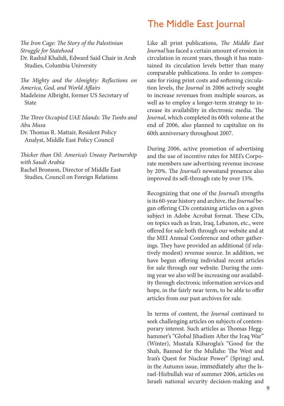### *The Iron Cage: The Story of the Palestinian Struggle for Statehood* Dr. Rashid Khalidi, Edward Said Chair in Arab Studies, Columbia University

*The Mighty and the Almighty: Reflections on America, God, and World Affairs* Madeleine Albright, former US Secretary of State

*The Three Occupied UAE Islands: The Tunbs and Abu Musa*

Dr. Thomas R. Mattair, Resident Policy Analyst, Middle East Policy Council

*Thicker than Oil: America's Uneasy Partnership with Saudi Arabia*

Rachel Bronson, Director of Middle East Studies, Council on Foreign Relations

# The Middle East Journal

Like all print publications, *The Middle East Journal* has faced a certain amount of erosion in circulation in recent years, though it has maintained its circulation levels better than many comparable publications. In order to compensate for rising print costs and softening circulation levels, the *Journal* in 2006 actively sought to increase revenues from multiple sources, as well as to employ a longer-term strategy to increase its availability in electronic media. The *Journal*, which completed its 60th volume at the end of 2006, also planned to capitalize on its 60th anniversary throughout 2007.

During 2006, active promotion of advertising and the use of incentive rates for MEI's Corporate members saw advertising revenue increase by 20%. The *Journal's* newsstand presence also improved its sell-through rate by over 15%.

Recognizing that one of the *Journal's* strengths is its 60-year history and archive, the *Journal* began offering CDs containing articles on a given subject in Adobe Acrobat format. These CDs, on topics such as Iran, Iraq, Lebanon, etc., were offered for sale both through our website and at the MEI Annual Conference and other gatherings. They have provided an additional (if relatively modest) revenue source. In addition, we have begun offering individual recent articles for sale through our website. During the coming year we also will be increasing our availability through electronic information services and hope, in the fairly near term, to be able to offer articles from our past archives for sale.

In terms of content, the *Journal* continued to seek challenging articles on subjects of contemporary interest. Such articles as Thomas Hegghammer's "Global Jihadism After the Iraq War" (Winter), Mustafa Kibaroglu's "Good for the Shah, Banned for the Mullahs: The West and Iran's Quest for Nuclear Power" (Spring) and, in the Autumn issue, immediately after the Israel-Hizbullah war of summer 2006, articles on Israeli national security decision-making and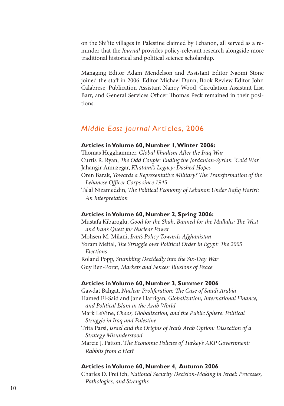on the Shi'ite villages in Palestine claimed by Lebanon, all served as a reminder that the *Journal* provides policy-relevant research alongside more traditional historical and political science scholarship.

Managing Editor Adam Mendelson and Assistant Editor Naomi Stone joined the staff in 2006. Editor Michael Dunn, Book Review Editor John Calabrese, Publication Assistant Nancy Wood, Circulation Assistant Lisa Barr, and General Services Officer Thomas Peck remained in their positions.

# *Middle East Journal* Articles, 2006

### **Articles in Volume 60, Number 1, Winter 2006:**

Thomas Hegghammer, *Global Jihadism After the Iraq War*  Curtis R. Ryan, *The Odd Couple: Ending the Jordanian-Syrian "Cold War"*  Jahangir Amuzegar, *Khatami's Legacy: Dashed Hopes*  Oren Barak, *Towards a Representative Military? The Transformation of the Lebanese Officer Corps since 1945*  Talal Nizameddin, *The Political Economy of Lebanon Under Rafiq Hariri: An Interpretation* 

### **Articles in Volume 60, Number 2, Spring 2006:**

Mustafa Kibaroglu, *Good for the Shah, Banned for the Mullahs: The West and Iran's Quest for Nuclear Power*  Mohsen M. Milani, *Iran's Policy Towards Afghanistan*  Yoram Meital, *The Struggle over Political Order in Egypt: The 2005 Elections*  Roland Popp, *Stumbling Decidedly into the Six-Day War*  Guy Ben-Porat, *Markets and Fences: Illusions of Peace* 

### **Articles in Volume 60, Number 3, Summer 2006**

Gawdat Bahgat, *Nuclear Proliferation: The Case of Saudi Arabia*  Hamed El-Said and Jane Harrigan, *Globalization, International Finance, and Political Islam in the Arab World*  Mark LeVine, *Chaos, Globalization, and the Public Sphere: Political Struggle in Iraq and Palestine*  Trita Parsi, *Israel and the Origins of Iran's Arab Option: Dissection of a Strategy Misunderstood*  Marcie J. Patton, T*he Economic Policies of Turkey's AKP Government: Rabbits from a Hat?* 

### **Articles in Volume 60, Number 4, Autumn 2006**

Charles D. Freilich, *National Security Decision-Making in Israel: Processes, Pathologies, and Strengths*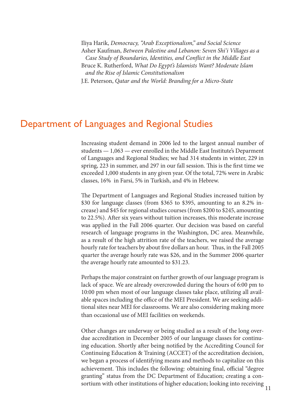Iliya Harik, *Democracy, "Arab Exceptionalism," and Social Science*  Asher Kaufman, *Between Palestine and Lebanon: Seven Shi'i Villages as a Case Study of Boundaries, Identities, and Conflict in the Middle East*  Bruce K. Rutherford, *What Do Egypt's Islamists Want? Moderate Islam and the Rise of Islamic Constitutionalism*  J.E. Peterson, *Qatar and the World: Branding for a Micro-State* 

# Department of Languages and Regional Studies

Increasing student demand in 2006 led to the largest annual number of students — 1,063 — ever enrolled in the Middle East Institute's Deparment of Languages and Regional Studies; we had 314 students in winter, 229 in spring, 223 in summer, and 297 in our fall session. This is the first time we exceeded 1,000 students in any given year. Of the total, 72% were in Arabic classes, 16% in Farsi, 5% in Turkish, and 4% in Hebrew.

The Department of Languages and Regional Studies increased tuition by \$30 for language classes (from \$365 to \$395, amounting to an 8.2% increase) and \$45 for regional studies courses (from \$200 to \$245, amounting to 22.5%). After six years without tuition increases, this moderate increase was applied in the Fall 2006 quarter. Our decision was based on careful research of language programs in the Washington, DC area. Meanwhile, as a result of the high attrition rate of the teachers, we raised the average hourly rate for teachers by about five dollars an hour. Thus, in the Fall 2005 quarter the average hourly rate was \$26, and in the Summer 2006 quarter the average hourly rate amounted to \$31.23.

Perhaps the major constraint on further growth of our language program is lack of space. We are already overcrowded during the hours of 6:00 pm to 10:00 pm when most of our language classes take place, utilizing all available spaces including the office of the MEI President. We are seeking additional sites near MEI for classrooms. We are also considering making more than occasional use of MEI facilities on weekends.

Other changes are underway or being studied as a result of the long overdue accreditation in December 2005 of our language classes for continuing education. Shortly after being notified by the Accrediting Council for Continuing Education & Training (ACCET) of the accreditation decision, we began a process of identifying means and methods to capitalize on this achievement. This includes the following: obtaining final, official "degree granting" status from the DC Department of Education; creating a consortium with other institutions of higher education; looking into receiving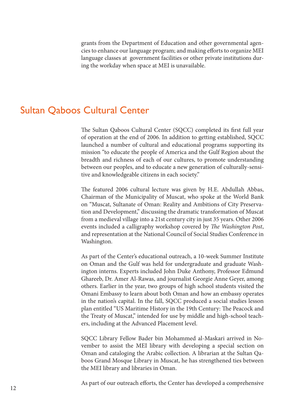grants from the Department of Education and other governmental agencies to enhance our language program; and making efforts to organize MEI language classes at government facilities or other private institutions during the workday when space at MEI is unavailable.

# Sultan Qaboos Cultural Center

The Sultan Qaboos Cultural Center (SQCC) completed its first full year of operation at the end of 2006. In addition to getting established, SQCC launched a number of cultural and educational programs supporting its mission "to educate the people of America and the Gulf Region about the breadth and richness of each of our cultures, to promote understanding between our peoples, and to educate a new generation of culturally-sensitive and knowledgeable citizens in each society."

The featured 2006 cultural lecture was given by H.E. Abdullah Abbas, Chairman of the Municipality of Muscat, who spoke at the World Bank on "Muscat, Sultanate of Oman: Reality and Ambitions of City Preservation and Development," discussing the dramatic transformation of Muscat from a medieval village into a 21st century city in just 35 years. Other 2006 events included a calligraphy workshop covered by *The Washington Post*, and representation at the National Council of Social Studies Conference in Washington.

As part of the Center's educational outreach, a 10-week Summer Institute on Oman and the Gulf was held for undergraduate and graduate Washington interns. Experts included John Duke Anthony, Professor Edmund Ghareeb, Dr. Amer Al-Rawas, and journalist Georgie Anne Geyer, among others. Earlier in the year, two groups of high school students visited the Omani Embassy to learn about both Oman and how an embassy operates in the nation's capital. In the fall, SQCC produced a social studies lesson plan entitled "US Maritime History in the 19th Century: The Peacock and the Treaty of Muscat," intended for use by middle and high-school teachers, including at the Advanced Placement level.

SQCC Library Fellow Bader bin Mohammed al-Maskari arrived in November to assist the MEI library with developing a special section on Oman and cataloging the Arabic collection. A librarian at the Sultan Qaboos Grand Mosque Library in Muscat, he has strengthened ties between the MEI library and libraries in Oman.

As part of our outreach efforts, the Center has developed a comprehensive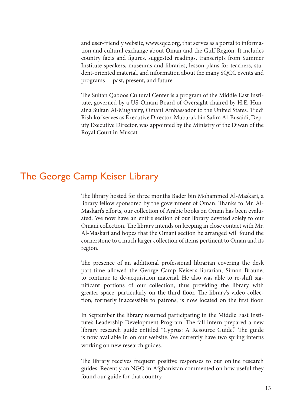and user-friendly website, www.sqcc.org, that serves as a portal to information and cultural exchange about Oman and the Gulf Region. It includes country facts and figures, suggested readings, transcripts from Summer Institute speakers, museums and libraries, lesson plans for teachers, student-oriented material, and information about the many SQCC events and programs — past, present, and future.

The Sultan Qaboos Cultural Center is a program of the Middle East Institute, governed by a US-Omani Board of Oversight chaired by H.E. Hunaina Sultan Al-Mughairy, Omani Ambassador to the United States. Trudi Rishikof serves as Executive Director. Mubarak bin Salim Al-Busaidi, Deputy Executive Director, was appointed by the Ministry of the Diwan of the Royal Court in Muscat.

# The George Camp Keiser Library

The library hosted for three months Bader bin Mohammed Al-Maskari, a library fellow sponsored by the government of Oman. Thanks to Mr. Al-Maskari's efforts, our collection of Arabic books on Oman has been evaluated. We now have an entire section of our library devoted solely to our Omani collection. The library intends on keeping in close contact with Mr. Al-Maskari and hopes that the Omani section he arranged will found the cornerstone to a much larger collection of items pertinent to Oman and its region.

The presence of an additional professional librarian covering the desk part-time allowed the George Camp Keiser's librarian, Simon Braune, to continue to de-acquisition material. He also was able to re-shift significant portions of our collection, thus providing the library with greater space, particularly on the third floor. The library's video collection, formerly inaccessible to patrons, is now located on the first floor.

In September the library resumed participating in the Middle East Institute's Leadership Development Program. The fall intern prepared a new library research guide entitled "Cyprus: A Resource Guide." The guide is now available in on our website. We currently have two spring interns working on new research guides.

The library receives frequent positive responses to our online research guides. Recently an NGO in Afghanistan commented on how useful they found our guide for that country.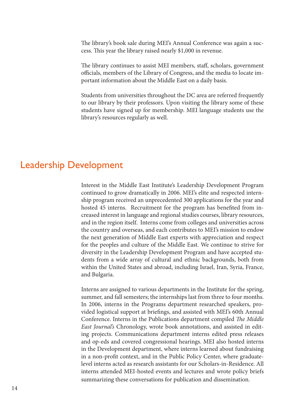The library's book sale during MEI's Annual Conference was again a success. This year the library raised nearly \$1,000 in revenue.

The library continues to assist MEI members, staff, scholars, government officials, members of the Library of Congress, and the media to locate important information about the Middle East on a daily basis.

Students from universities throughout the DC area are referred frequently to our library by their professors. Upon visiting the library some of these students have signed up for membership. MEI language students use the library's resources regularly as well.

# Leadership Development

Interest in the Middle East Institute's Leadership Development Program continued to grow dramatically in 2006. MEI's elite and respected internship program received an unprecedented 300 applications for the year and hosted 45 interns. Recruitment for the program has benefited from increased interest in language and regional studies courses, library resources, and in the region itself. Interns come from colleges and universities across the country and overseas, and each contributes to MEI's mission to endow the next generation of Middle East experts with appreciation and respect for the peoples and culture of the Middle East. We continue to strive for diversity in the Leadership Development Program and have accepted students from a wide array of cultural and ethnic backgrounds, both from within the United States and abroad, including Israel, Iran, Syria, France, and Bulgaria.

Interns are assigned to various departments in the Institute for the spring, summer, and fall semesters; the internships last from three to four months. In 2006, interns in the Programs department researched speakers, provided logistical support at briefings, and assisted with MEI's 60th Annual Conference. Interns in the Publications department compiled *The Middle East Journal's* Chronology, wrote book annotations, and assisted in editing projects. Communications department interns edited press releases and op-eds and covered congressional hearings. MEI also hosted interns in the Development department, where interns learned about fundraising in a non-profit context, and in the Public Policy Center, where graduatelevel interns acted as research assistants for our Scholars-in-Residence. All interns attended MEI-hosted events and lectures and wrote policy briefs summarizing these conversations for publication and dissemination.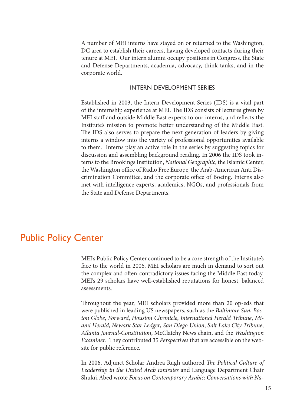A number of MEI interns have stayed on or returned to the Washington, DC area to establish their careers, having developed contacts during their tenure at MEI. Our intern alumni occupy positions in Congress, the State and Defense Departments, academia, advocacy, think tanks, and in the corporate world.

### INTERN DEVELOPMENT SERIES

Established in 2003, the Intern Development Series (IDS) is a vital part of the internship experience at MEI. The IDS consists of lectures given by MEI staff and outside Middle East experts to our interns, and reflects the Institute's mission to promote better understanding of the Middle East. The IDS also serves to prepare the next generation of leaders by giving interns a window into the variety of professional opportunities available to them. Interns play an active role in the series by suggesting topics for discussion and assembling background reading. In 2006 the IDS took interns to the Brookings Institution, *National Geographic*, the Islamic Center, the Washington office of Radio Free Europe, the Arab-American Anti Discrimination Committee, and the corporate office of Boeing. Interns also met with intelligence experts, academics, NGOs, and professionals from the State and Defense Departments.

# Public Policy Center

MEI's Public Policy Center continued to be a core strength of the Institute's face to the world in 2006. MEI scholars are much in demand to sort out the complex and often-contradictory issues facing the Middle East today. MEI's 29 scholars have well-established reputations for honest, balanced assessments.

Throughout the year, MEI scholars provided more than 20 op-eds that were published in leading US newspapers, such as the *Baltimore Sun*, *Boston Globe*, *Forward*, *Houston Chronicle*, *International Herald Tribune*, *Miami Herald*, *Newark Star Ledger*, *San Diego Union*, *Salt Lake City Tribune*, *Atlanta Journal-Constitution*, McClatchy News chain, and the *Washington Examiner*. They contributed 35 *Perspectives* that are accessible on the website for public reference.

In 2006, Adjunct Scholar Andrea Rugh authored *The Political Culture of Leadership in the United Arab Emirates* and Language Department Chair Shukri Abed wrote *Focus on Contemporary Arabic: Conversations with Na-*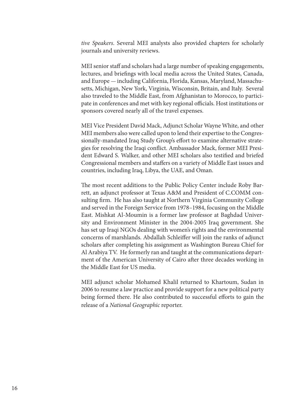*tive Speakers*. Several MEI analysts also provided chapters for scholarly journals and university reviews.

MEI senior staff and scholars had a large number of speaking engagements, lectures, and briefings with local media across the United States, Canada, and Europe — including California, Florida, Kansas, Maryland, Massachusetts, Michigan, New York, Virginia, Wisconsin, Britain, and Italy. Several also traveled to the Middle East, from Afghanistan to Morocco, to participate in conferences and met with key regional officials. Host institutions or sponsors covered nearly all of the travel expenses.

MEI Vice President David Mack, Adjunct Scholar Wayne White, and other MEI members also were called upon to lend their expertise to the Congressionally-mandated Iraq Study Group's effort to examine alternative strategies for resolving the Iraqi conflict. Ambassador Mack, former MEI President Edward S. Walker, and other MEI scholars also testified and briefed Congressional members and staffers on a variety of Middle East issues and countries, including Iraq, Libya, the UAE, and Oman.

The most recent additions to the Public Policy Center include Roby Barrett, an adjunct professor at Texas A&M and President of C.COMM consulting firm. He has also taught at Northern Virginia Community College and served in the Foreign Service from 1978–1984, focusing on the Middle East. Mishkat Al-Moumin is a former law professor at Baghdad University and Environment Minister in the 2004-2005 Iraq government. She has set up Iraqi NGOs dealing with women's rights and the environmental concerns of marshlands. Abdallah Schleiffer will join the ranks of adjunct scholars after completing his assignment as Washington Bureau Chief for Al Arabiya TV. He formerly ran and taught at the communications department of the American University of Cairo after three decades working in the Middle East for US media.

MEI adjunct scholar Mohamed Khalil returned to Khartoum, Sudan in 2006 to resume a law practice and provide support for a new political party being formed there. He also contributed to successful efforts to gain the release of a *National Geographic* reporter.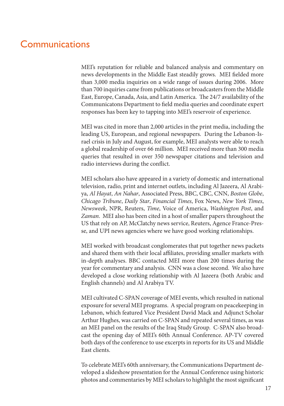# Communications

MEI's reputation for reliable and balanced analysis and commentary on news developments in the Middle East steadily grows. MEI fielded more than 3,000 media inquiries on a wide range of issues during 2006. More than 700 inquiries came from publications or broadcasters from the Middle East, Europe, Canada, Asia, and Latin America. The 24/7 availability of the Communicatons Department to field media queries and coordinate expert responses has been key to tapping into MEI's reservoir of experience.

MEI was cited in more than 2,000 articles in the print media, including the leading US, European, and regional newspapers. During the Lebanon-Israel crisis in July and August, for example, MEI analysts were able to reach a global readership of over 66 million. MEI received more than 300 media queries that resulted in over 350 newspaper citations and television and radio interviews during the conflict.

MEI scholars also have appeared in a variety of domestic and international television, radio, print and internet outlets, including Al Jazeera, Al Arabiya, *Al Hayat*, *An Nahar*, Associated Press, BBC, CBC, CNN, *Boston Globe*, *Chicago Tribune*, *Daily Star*, *Financial Times*, Fox News, *New York Times*, *Newsweek*, NPR, Reuters, *Time*, Voice of America, *Washington Post*, and *Zaman*. MEI also has been cited in a host of smaller papers throughout the US that rely on AP, McClatchy news service, Reuters, Agence France-Presse, and UPI news agencies where we have good working relationships.

MEI worked with broadcast conglomerates that put together news packets and shared them with their local affiliates, providing smaller markets with in-depth analyses. BBC contacted MEI more than 200 times during the year for commentary and analysis. CNN was a close second. We also have developed a close working relationship with Al Jazeera (both Arabic and English channels) and Al Arabiya TV.

MEI cultivated C-SPAN coverage of MEI events, which resulted in national exposure for several MEI programs. A special program on peacekeeping in Lebanon, which featured Vice President David Mack and Adjunct Scholar Arthur Hughes, was carried on C-SPAN and repeated several times, as was an MEI panel on the results of the Iraq Study Group. C-SPAN also broadcast the opening day of MEI's 60th Annual Conference. AP-TV covered both days of the conference to use excerpts in reports for its US and Middle East clients.

To celebrate MEI's 60th anniversary, the Communications Department developed a slideshow presentation for the Annual Conference using historic photos and commentaries by MEI scholars to highlight the most significant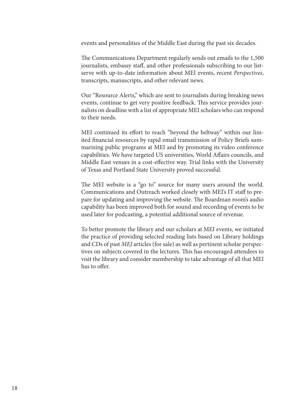events and personalities of the Middle East during the past six decades.

The Communications Department regularly sends out emails to the 1,500 journalists, embassy staff, and other professionals subscribing to our listserve with up-to-date information about MEI events, recent *Perspectives*, transcripts, manuscripts, and other relevant news.

Our "Resource Alerts," which are sent to journalists during breaking news events, continue to get very positive feedback. This service provides journalists on deadline with a list of appropriate MEI scholars who can respond to their needs.

MEI continued its effort to reach "beyond the beltway" within our limited financial resources by rapid email transmission of Policy Briefs summarizing public programs at MEI and by promoting its video conference capabilities. We have targeted US universities, World Affairs councils, and Middle East venues in a cost-effective way. Trial links with the University of Texas and Portland State University proved successful.

The MEI website is a "go to" source for many users around the world. Communications and Outreach worked closely with MEI's IT staff to prepare for updating and improving the website. The Boardman room's audio capability has been improved both for sound and recording of events to be used later for podcasting, a potential additional source of revenue.

To better promote the library and our scholars at MEI events, we initiated the practice of providing selected reading lists based on Library holdings and CDs of past *MEJ* articles (for sale) as well as pertinent scholar perspectives on subjects covered in the lectures. This has encouraged attendees to visit the library and consider membership to take advantage of all that MEI has to offer.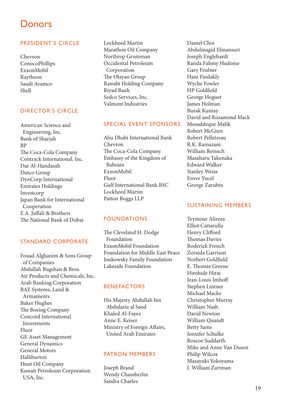# **Donors**

### PRESIDENT'S CIRCLE

Chevron ConocoPhillips ExxonMobil Raytheon Saudi Aramco Shell

### DIRECTOR'S CIRCLE

American Science and Engineering, Inc. Bank of Sharjah BP The Coca-Cola Company Contrack International, Inc. Dar Al-Handasah Dutco Group DynCorp International Emirates Holdings Investcorp Japan Bank for International Cooperation E.A. Juffali & Brothers The National Bank of Dubai

### STANDARD CORPORATE

Fouad Alghanim & Sons Group of Companies Abdullah Bugshan & Bros. Air Products and Chemicals, Inc. Arab Banking Corporation BAE Systems, Land & Armaments Baker Hughes The Boeing Company Concord International Investments Fluor GE Asset Management General Dynamics General Motors Halliburton Hunt Oil Company Kuwait Petroleum Corporation USA, Inc.

Lockheed Martin Marathon Oil Company Northrop Grumman Occidental Petroleum Corporation The Olayan Group Rawabi Holding Company Riyad Bank Sedco Services, Inc. Valmont Industries

### SPECIAL EVENT SPONSORS

Abu Dhabi International Bank Chevron The Coca-Cola Company Embassy of the Kingdom of Bahrain ExxonMobil Fluor Gulf International Bank BSC Lockheed Martin Patton Boggs LLP

### FOUNDATIONS

The Cleveland H. Dodge Foundation ExxonMobil Foundation Foundation for Middle East Peace Joukowsky Family Foundation Lakeside Foundation

### BENEFACTORS

His Majesty Abdullah bin Abdulaziz al Saud Khaled Al-Fayez Anne E. Keiser Ministry of Foreign Affairs, United Arab Emirates

### PATRON MEMBERS

Joseph Brand Wendy Chamberlin Sandra Charles

Daniel Choi Abdulmagid Elmansuri Joseph Englehardt Randa Fahmy Hudome Gary Feulner Hani Findakly Wyche Fowler HP Goldfield George Hoguet James Holman Burak Kuntay David and Rosamond Mack Mosaddeque Malik Robert McGinn Robert Pelletreau R.K. Ramazani William Reinsch Masaharu Takenaka Edward Walker Stanley Weiss Enver Yucel George Zarubin

### SUSTAINING MEMBERS

Teymour Alireza Elliot Cattarulla Henry Clifford Thomas Davies Roderick French Zoraida Garrison Norbert Goldfield E. Thomas Greene Hirohide Hirai Jean-Louis Imhoff Stephen Lintner Michael Macke Christopher Murray William Nash David Newton William Quandt Betty Sams Jennifer Schulke Roscoe Suddarth Mike and Anne Van Dusen Philip Wilcox Masayuki Yokoyama I. William Zartman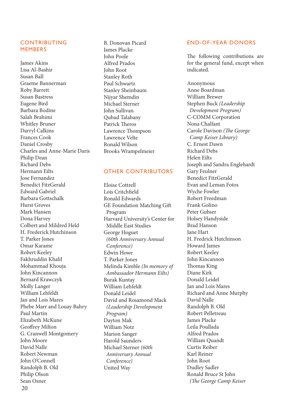### CONTRIBUTING MEMBERS

James Akins Lisa Al-Bashir Susan Ball Graeme Bannerman Roby Barrett Susan Bastress Eugene Bird Barbara Bodine Salah Brahimi Whitley Bruner Darryl Calkins Frances Cook Daniel Crosby Charles and Anne-Marie Daris Philip Dean Richard Debs Hermann Eilts Jose Fernandez Benedict FitzGerald Edward Gabriel Barbara Gottschalk Hurst Groves Mark Hansen Dona Harvey Colbert and Mildred Held H. Frederick Hutchinson T. Parker Jones Omar Karame Robert Keeley Fakhruddin Khalil Mohammad Khouja John Kincannon Bernard Krawczyk Molly Langer William Lehfeldt Jan and Lois Mares Phebe Marr and Louay Bahry Paul Martin Elizabeth McKune Geoffrey Milton G. Cranwell Montgomery John Moore David Nalle Robert Newman John O'Connell Randolph B. Old Philip Olson Sean Osner 20

B. Donovan Picard James Placke John Poole Alfred Prados John Root Stanley Roth Paul Schwartz Stanley Sheinbaum Nijyar Shemdin Michael Sterner John Sullivan Qubad Talabany Patrick Theros Lawrence Thompson Lawrence Velte Ronald Wilson Brooks Wrampelmeier

### OTHER CONTRIBUTORS

Eloise Cottrell Lois Critchfield Ronald Edwards GE Foundation Matching Gift Program Harvard University's Center for Middle East Studies George Hoguet  *(60th Anniversary Annual Conference)*  Edwin Howe T. Parker Jones Melinda Kimble *(In memory of Ambassador Hermann Eilts)* Burak Kuntay William Lehfeldt Donald Leidel David and Rosamond Mack  *(Leadership Development Program)* Dayton Mak William Notz Marion Sanger Harold Saunders Michael Sterner *(60th Anniversary Annual Conference)*  United Way

#### END-OF-YEAR DONORS

The following contributions are for the general fund, except when indicated.

Anonymous Anne Boardman William Brewer Stephen Buck *(Leadership Development Program)* C-COMM Corporation Nona Chalfant Carole Davison *(The George Camp Keiser Library)*  C. Ernest Dawn Richard Debs Helen Eilts Joseph and Sandra Englehardt Gary Feulner Benedict FitzGerald Evan and Leman Fotos Wyche Fowler Robert Freedman Frank Golino Peter Gubser Holsey Handyside Brad Hanson Jane Hart H. Fredrick Hutchinson Howard James Robert Keeley John Kincannon Thomas King Diane Kirk Donald Leidel Jan and Lois Mares Richard and Anne Murphy David Nalle Randolph B. Old Robert Pelletreau James Placke Leila Poullada Alfred Prados William Quandt Curtis Reiber Karl Reiner John Root Dudley Sadler Ronald Bruce St John  *(The George Camp Keiser*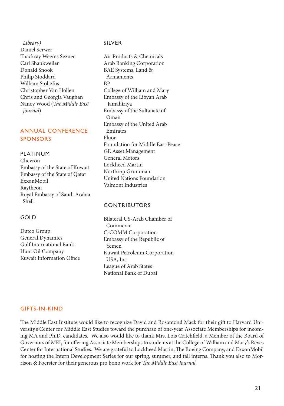*Library)* Daniel Serwer Thackray Weems Seznec Carl Shankweiler Donald Snook Philip Stoddard William Stoltzfus Christopher Van Hollen Chris and Georgia Vaughan Nancy Wood (*The Middle East Journal*)

### ANNUAL CONFERENCE SPONSORS

### PLATINUM

Chevron Embassy of the State of Kuwait Embassy of the State of Qatar ExxonMobil Raytheon Royal Embassy of Saudi Arabia Shell

### GOLD

Dutco Group General Dynamics Gulf International Bank Hunt Oil Company Kuwait Information Office

### SILVER

Air Products & Chemicals Arab Banking Corporation BAE Systems, Land & Armaments BP College of William and Mary Embassy of the Libyan Arab Jamahiriya Embassy of the Sultanate of Oman Embassy of the United Arab Emirates Fluor Foundation for Middle East Peace GE Asset Management General Motors Lockheed Martin Northrop Grumman United Nations Foundation Valmont Industries

### **CONTRIBUTORS**

Bilateral US-Arab Chamber of Commerce C-COMM Corporation Embassy of the Republic of Yemen Kuwait Petroleum Corporation USA, Inc. League of Arab States National Bank of Dubai

### GIFTS-IN-KIND

The Middle East Institute would like to recognize David and Rosamond Mack for their gift to Harvard University's Center for Middle East Studies toward the purchase of one-year Associate Memberships for incoming MA and Ph.D. candidates. We also would like to thank Mrs. Lois Critchfield, a Member of the Board of Governors of MEI, for offering Associate Memberships to students at the College of William and Mary's Reves Center for International Studies. We are grateful to Lockheed Martin, The Boeing Company, and ExxonMobil for hosting the Intern Development Series for our spring, summer, and fall interns. Thank you also to Morrison & Foerster for their generous pro bono work for *The Middle East Journal*.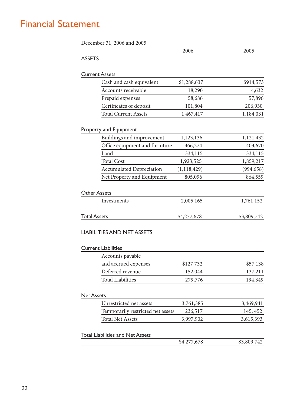# Financial Statement

|                       |                                         | 2006          | 2005                               |
|-----------------------|-----------------------------------------|---------------|------------------------------------|
| <b>ASSETS</b>         |                                         |               |                                    |
| <b>Current Assets</b> |                                         |               |                                    |
|                       | Cash and cash equivalent                | \$1,288,637   | \$914,573                          |
|                       | Accounts receivable                     | 18,290        | 4,632                              |
|                       | Prepaid expenses                        | 58,686        | 57,896                             |
|                       | Certificates of deposit                 | 101,804       | 206,930                            |
|                       | <b>Total Current Assets</b>             | 1,467,417     | 1,184,031                          |
|                       | Property and Equipment                  |               |                                    |
|                       | Buildings and improvement               | 1,123,136     | 1,121,432                          |
|                       | Office equipment and furniture          | 466,274       | 403,670                            |
|                       | Land                                    | 334,115       | 334,115                            |
|                       | <b>Total Cost</b>                       | 1,923,525     | 1,859,217                          |
|                       | <b>Accumulated Depreciation</b>         | (1, 118, 429) | (994, 658)                         |
|                       | Net Property and Equipment              | 805,096       | 864,559                            |
|                       | Investments                             | 2,005,165     | 1,761,152                          |
|                       |                                         |               |                                    |
| <b>Total Assets</b>   |                                         | \$4,277,678   |                                    |
|                       | <b>LIABILITIES AND NET ASSETS</b>       |               |                                    |
|                       | <b>Current Liabilities</b>              |               |                                    |
|                       | Accounts payable                        |               |                                    |
|                       | and accrued expenses                    | \$127,732     |                                    |
|                       | Deferred revenue                        | 152,044       | \$3,809,742<br>\$57,138<br>137,211 |
|                       | <b>Total Liabilities</b>                | 279,776       |                                    |
|                       |                                         |               |                                    |
|                       | Unrestricted net assets                 | 3,761,385     |                                    |
|                       | Temporarily restricted net assets       | 236,517       | 194,349<br>3,469,941<br>145, 452   |
| <b>Net Assets</b>     | <b>Total Net Assets</b>                 | 3,997,902     |                                    |
|                       | <b>Total Liabilities and Net Assets</b> |               | 3,615,393                          |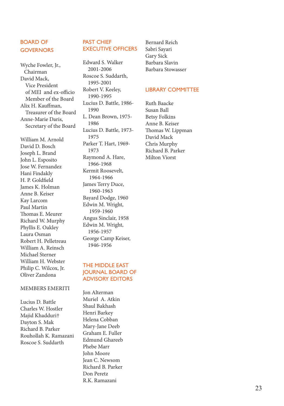### BOARD OF **GOVERNORS**

Wyche Fowler, Jr., Chairman David Mack, Vice President of MEI and ex-officio Member of the Board Alix H. Kauffman, Treasurer of the Board Anne-Marie Daris, Secretary of the Board

William M. Arnold David D. Bosch Joseph L. Brand John L. Esposito Jose W. Fernandez Hani Findakly H. P. Goldfield James K. Holman Anne B. Keiser Kay Larcom Paul Martin Thomas E. Meurer Richard W. Murphy Phyllis E. Oakley Laura Osman Robert H. Pelletreau William A. Reinsch Michael Sterner William H. Webster Philip C. Wilcox, Jr. Oliver Zandona

#### MEMBERS EMERITI

Lucius D. Battle Charles W. Hostler Majid Khadduri† Dayton S. Mak Richard B. Parker Rouhollah K. Ramazani Roscoe S. Suddarth

### PAST CHIEF EXECUTIVE OFFICERS

Edward S. Walker 2001-2006 Roscoe S. Suddarth, 1995-2001 Robert V. Keeley, 1990-1995 Lucius D. Battle, 1986- 1990 L. Dean Brown, 1975- 1986 Lucius D. Battle, 1973- 1975 Parker T. Hart, 1969- 1973 Raymond A. Hare, 1966-1968 Kermit Roosevelt, 1964-1966 James Terry Duce, 1960-1963 Bayard Dodge, 1960 Edwin M. Wright, 1959-1960 Angus Sinclair, 1958 Edwin M. Wright, 1956-1957 George Camp Keiser, 1946-1956

### THE MIDDLE EAST JOURNAL BOARD OF ADVISORY EDITORS

Jon Alterman Muriel A. Atkin Shaul Bakhash Henri Barkey Helena Cobban Mary-Jane Deeb Graham E. Fuller Edmund Ghareeb Phebe Marr John Moore Jean C. Newsom Richard B. Parker Don Peretz R.K. Ramazani

Bernard Reich Sabri Sayari Gary Sick Barbara Slavin Barbara Stowasser

### LIBRARY COMMITTEE

Ruth Baacke Susan Ball Betsy Folkins Anne B. Keiser Thomas W. Lippman David Mack Chris Murphy Richard B. Parker Milton Viorst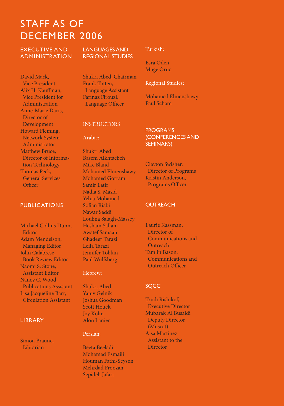# STAFF AS OF DECEMBER 2006

EXECUTIVE AND ADMINISTRATION

David Mack, Vice President Alix H. Kauffman, Vice President for Administration Anne-Marie Daris, Director of Development Howard Fleming, Network System Administrator Matthew Bruce, Director of Informa tion Technology Thomas Peck, General Services Officer

### PUBLICATIONS

Michael Collins Dunn, Editor Adam Mendelson, Managing Editor John Calabrese, Book Review Editor Naomi S. Stone, Assistant Editor Nancy C. Wood, Publications Assistant Lisa Jacqueline Barr, Circulation Assistant

#### LIBRARY

Simon Braune, Librarian

LANGUAGES AND REGIONAL STUDIES

Shukri Abed, Chairman Frank Totten, Language Assistant Farinaz Firouzi, Language Officer

### Turkish:

Esra Oden Muge Oruc

#### Regional Studies:

Mohamed Elmenshawy Paul Scham

#### **INSTRUCTORS**

Arabic:

Shukri Abed Basem Alkhtaebeh Mike Bland Mohamed Elmenshawy Mohamed Gorram Samir Latif Nadia S. Masid Yehia Mohamed Sofian Riabi Nawar Saddi Loubna Salagh-Massey Hesham Sallam Awatef Samaan Ghadeer Tarazi Leila Tarazi Jennifer Tobkin Paul Wulfsberg

#### Hebrew:

Shukri Abed Yaniv Gelnik Joshua Goodman Scott Houck Joy Kolin Alon Lanier

#### Persian:

Beeta Beeladi Mohamad Esmaili Houman Fathi-Seyson Mehrdad Froozan Sepideh Jafari

PROGRAMS (CONFERENCES AND SEMINARS)

Clayton Swisher, Director of Programs Kristin Anderson, Programs Officer

#### **OUTREACH**

Laurie Kassman, Director of Communications and **Outreach** Tamlin Bason, Communications and Outreach Officer

### **SOCC**

Trudi Rishikof, Executive Director Mubarak Al Busaidi Deputy Director (Muscat) Aisa Martinez Assistant to the **Director**